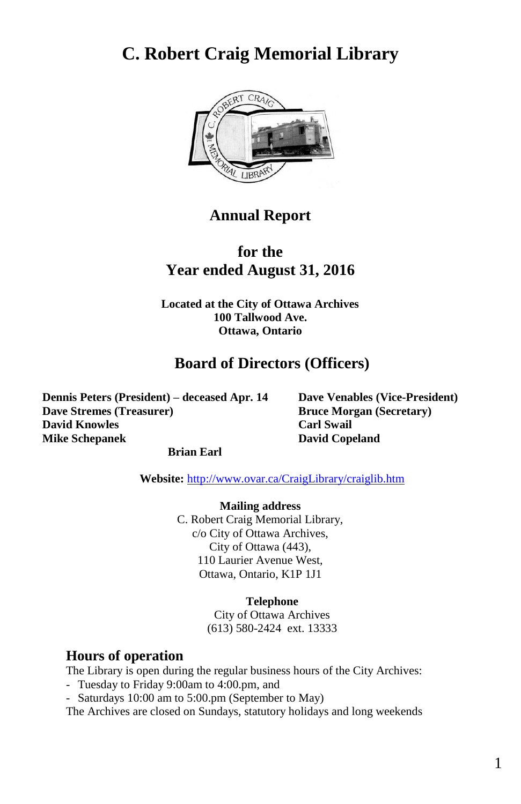# **C. Robert Craig Memorial Library**



## **Annual Report**

## **for the Year ended August 31, 2016**

**Located at the City of Ottawa Archives 100 Tallwood Ave. Ottawa, Ontario**

## **Board of Directors (Officers)**

**Dennis Peters (President) – deceased Apr. 14 Dave Venables (Vice-President) Dave Stremes (Treasurer) Bruce Morgan (Secretary) David Knowles Carl Swail Mike Schepanek David Copeland**

#### **Brian Earl**

**Website:** <http://www.ovar.ca/CraigLibrary/craiglib.htm>

**Mailing address** C. Robert Craig Memorial Library, c/o City of Ottawa Archives, City of Ottawa (443), 110 Laurier Avenue West, Ottawa, Ontario, K1P 1J1

#### **Telephone**

City of Ottawa Archives (613) 580-2424 ext. 13333

#### **Hours of operation**

The Library is open during the regular business hours of the City Archives:

- Tuesday to Friday 9:00am to 4:00.pm, and
- Saturdays 10:00 am to 5:00.pm (September to May)

The Archives are closed on Sundays, statutory holidays and long weekends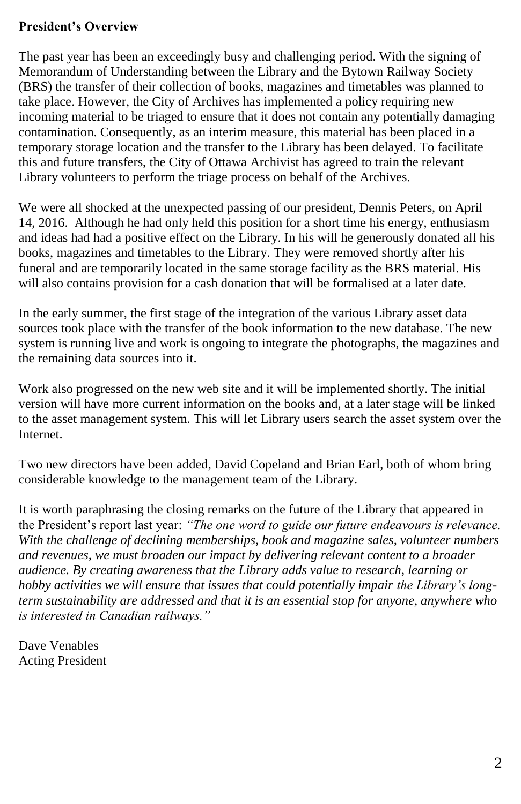## **President's Overview**

The past year has been an exceedingly busy and challenging period. With the signing of Memorandum of Understanding between the Library and the Bytown Railway Society (BRS) the transfer of their collection of books, magazines and timetables was planned to take place. However, the City of Archives has implemented a policy requiring new incoming material to be triaged to ensure that it does not contain any potentially damaging contamination. Consequently, as an interim measure, this material has been placed in a temporary storage location and the transfer to the Library has been delayed. To facilitate this and future transfers, the City of Ottawa Archivist has agreed to train the relevant Library volunteers to perform the triage process on behalf of the Archives.

We were all shocked at the unexpected passing of our president, Dennis Peters, on April 14, 2016. Although he had only held this position for a short time his energy, enthusiasm and ideas had had a positive effect on the Library. In his will he generously donated all his books, magazines and timetables to the Library. They were removed shortly after his funeral and are temporarily located in the same storage facility as the BRS material. His will also contains provision for a cash donation that will be formalised at a later date.

In the early summer, the first stage of the integration of the various Library asset data sources took place with the transfer of the book information to the new database. The new system is running live and work is ongoing to integrate the photographs, the magazines and the remaining data sources into it.

Work also progressed on the new web site and it will be implemented shortly. The initial version will have more current information on the books and, at a later stage will be linked to the asset management system. This will let Library users search the asset system over the Internet.

Two new directors have been added, David Copeland and Brian Earl, both of whom bring considerable knowledge to the management team of the Library.

It is worth paraphrasing the closing remarks on the future of the Library that appeared in the President's report last year: *"The one word to guide our future endeavours is relevance. With the challenge of declining memberships, book and magazine sales, volunteer numbers and revenues, we must broaden our impact by delivering relevant content to a broader audience. By creating awareness that the Library adds value to research, learning or hobby activities we will ensure that issues that could potentially impair the Library's longterm sustainability are addressed and that it is an essential stop for anyone, anywhere who is interested in Canadian railways."*

Dave Venables Acting President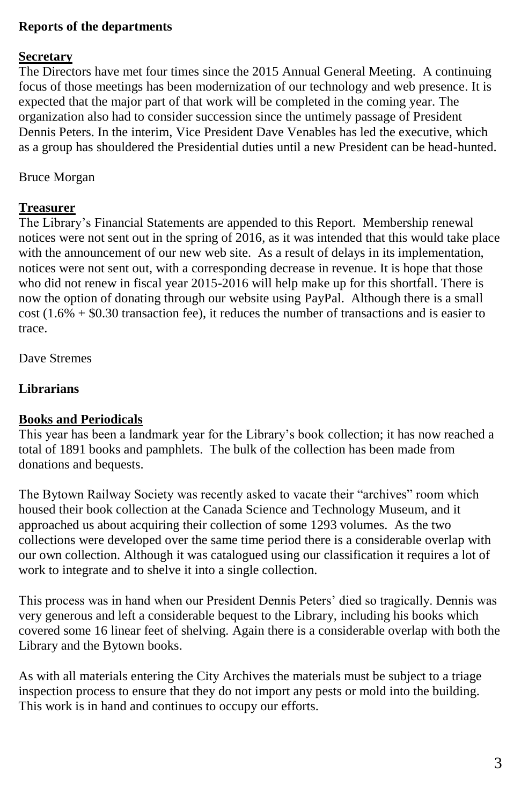#### **Reports of the departments**

#### **Secretary**

The Directors have met four times since the 2015 Annual General Meeting. A continuing focus of those meetings has been modernization of our technology and web presence. It is expected that the major part of that work will be completed in the coming year. The organization also had to consider succession since the untimely passage of President Dennis Peters. In the interim, Vice President Dave Venables has led the executive, which as a group has shouldered the Presidential duties until a new President can be head-hunted.

Bruce Morgan

#### **Treasurer**

The Library's Financial Statements are appended to this Report. Membership renewal notices were not sent out in the spring of 2016, as it was intended that this would take place with the announcement of our new web site. As a result of delays in its implementation, notices were not sent out, with a corresponding decrease in revenue. It is hope that those who did not renew in fiscal year 2015-2016 will help make up for this shortfall. There is now the option of donating through our website using PayPal. Although there is a small  $cost (1.6% + $0.30$  transaction fee), it reduces the number of transactions and is easier to trace.

Dave Stremes

## **Librarians**

#### **Books and Periodicals**

This year has been a landmark year for the Library's book collection; it has now reached a total of 1891 books and pamphlets. The bulk of the collection has been made from donations and bequests.

The Bytown Railway Society was recently asked to vacate their "archives" room which housed their book collection at the Canada Science and Technology Museum, and it approached us about acquiring their collection of some 1293 volumes. As the two collections were developed over the same time period there is a considerable overlap with our own collection. Although it was catalogued using our classification it requires a lot of work to integrate and to shelve it into a single collection.

This process was in hand when our President Dennis Peters' died so tragically. Dennis was very generous and left a considerable bequest to the Library, including his books which covered some 16 linear feet of shelving. Again there is a considerable overlap with both the Library and the Bytown books.

As with all materials entering the City Archives the materials must be subject to a triage inspection process to ensure that they do not import any pests or mold into the building. This work is in hand and continues to occupy our efforts.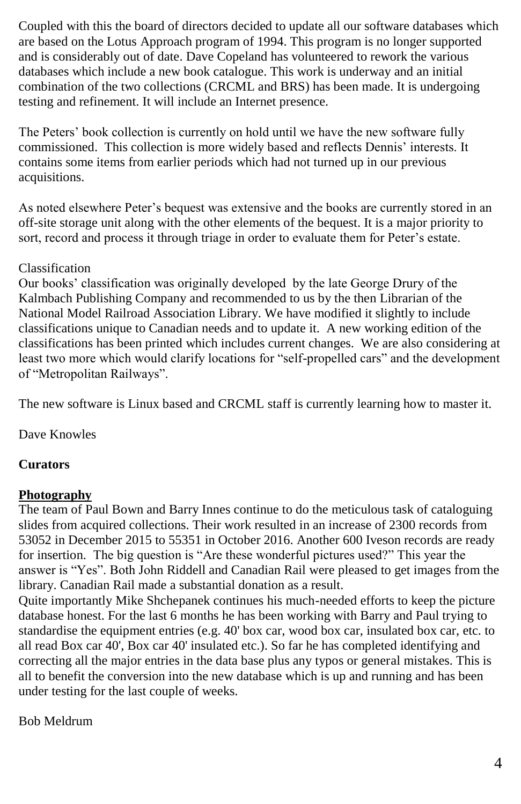Coupled with this the board of directors decided to update all our software databases which are based on the Lotus Approach program of 1994. This program is no longer supported and is considerably out of date. Dave Copeland has volunteered to rework the various databases which include a new book catalogue. This work is underway and an initial combination of the two collections (CRCML and BRS) has been made. It is undergoing testing and refinement. It will include an Internet presence.

The Peters' book collection is currently on hold until we have the new software fully commissioned. This collection is more widely based and reflects Dennis' interests. It contains some items from earlier periods which had not turned up in our previous acquisitions.

As noted elsewhere Peter's bequest was extensive and the books are currently stored in an off-site storage unit along with the other elements of the bequest. It is a major priority to sort, record and process it through triage in order to evaluate them for Peter's estate.

## Classification

Our books' classification was originally developed by the late George Drury of the Kalmbach Publishing Company and recommended to us by the then Librarian of the National Model Railroad Association Library. We have modified it slightly to include classifications unique to Canadian needs and to update it. A new working edition of the classifications has been printed which includes current changes. We are also considering at least two more which would clarify locations for "self-propelled cars" and the development of "Metropolitan Railways".

The new software is Linux based and CRCML staff is currently learning how to master it.

Dave Knowles

## **Curators**

## **Photography**

The team of Paul Bown and Barry Innes continue to do the meticulous task of cataloguing slides from acquired collections. Their work resulted in an increase of 2300 records from 53052 in December 2015 to 55351 in October 2016. Another 600 Iveson records are ready for insertion. The big question is "Are these wonderful pictures used?" This year the answer is "Yes". Both John Riddell and Canadian Rail were pleased to get images from the library. Canadian Rail made a substantial donation as a result.

Quite importantly Mike Shchepanek continues his much-needed efforts to keep the picture database honest. For the last 6 months he has been working with Barry and Paul trying to standardise the equipment entries (e.g. 40' box car, wood box car, insulated box car, etc. to all read Box car 40', Box car 40' insulated etc.). So far he has completed identifying and correcting all the major entries in the data base plus any typos or general mistakes. This is all to benefit the conversion into the new database which is up and running and has been under testing for the last couple of weeks.

Bob Meldrum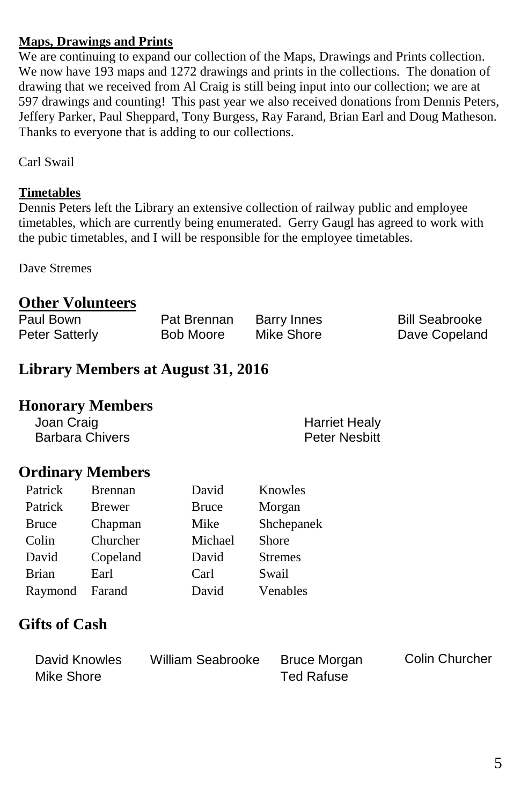## **Maps, Drawings and Prints**

We are continuing to expand our collection of the Maps, Drawings and Prints collection. We now have 193 maps and 1272 drawings and prints in the collections. The donation of drawing that we received from Al Craig is still being input into our collection; we are at 597 drawings and counting! This past year we also received donations from Dennis Peters, Jeffery Parker, Paul Sheppard, Tony Burgess, Ray Farand, Brian Earl and Doug Matheson. Thanks to everyone that is adding to our collections.

Carl Swail

#### **Timetables**

Dennis Peters left the Library an extensive collection of railway public and employee timetables, which are currently being enumerated. Gerry Gaugl has agreed to work with the pubic timetables, and I will be responsible for the employee timetables.

Dave Stremes

## **Other Volunteers**

| Paul Bown             | Pat Brennan | Barry Innes | <b>Bill Seabrooke</b> |
|-----------------------|-------------|-------------|-----------------------|
| <b>Peter Satterly</b> | Bob Moore   | Mike Shore  | Dave Copeland         |

# **Library Members at August 31, 2016**

## **Honorary Members**

Joan Craig (1999)<br>Barbara Chivers (1999) (1999) (1999) (1999) (Peter Nesbitt Barbara Chivers

# **Ordinary Members**

| Patrick      | <b>Brennan</b> | David   | Knowles        |
|--------------|----------------|---------|----------------|
| Patrick      | <b>Brewer</b>  | Bruce   | Morgan         |
| <b>Bruce</b> | Chapman        | Mike    | Shchepanek     |
| Colin        | Churcher       | Michael | Shore          |
| David        | Copeland       | David   | <b>Stremes</b> |
| <b>Brian</b> | Earl           | Carl    | Swail          |
| Raymond      | Farand         | David   | Venables       |

## **Gifts of Cash**

| David Knowles | William Seabrooke | Bruce Morgan | Colin Churcher |
|---------------|-------------------|--------------|----------------|
| Mike Shore    |                   | Ted Rafuse   |                |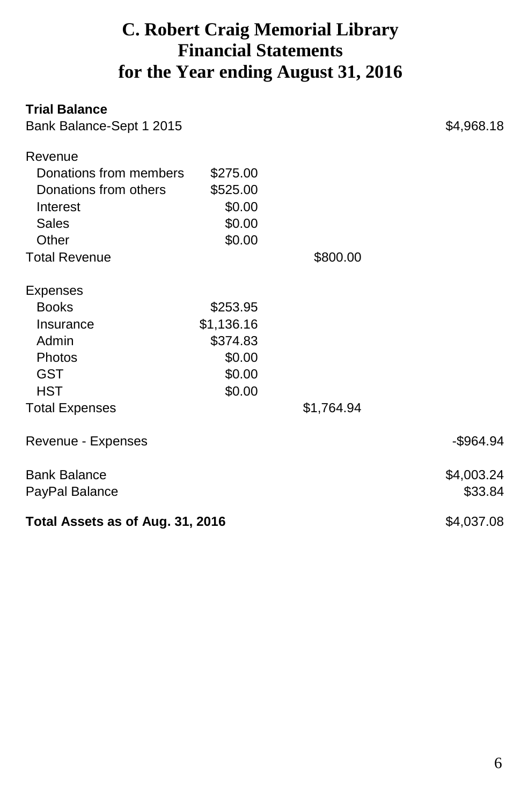# **C. Robert Craig Memorial Library Financial Statements for the Year ending August 31, 2016**

| <b>Trial Balance</b>             |            |            |              |
|----------------------------------|------------|------------|--------------|
| Bank Balance-Sept 1 2015         |            |            | \$4,968.18   |
| Revenue                          |            |            |              |
| Donations from members           | \$275.00   |            |              |
| Donations from others            | \$525.00   |            |              |
| Interest                         | \$0.00     |            |              |
| Sales                            | \$0.00     |            |              |
| Other                            | \$0.00     |            |              |
| <b>Total Revenue</b>             |            | \$800.00   |              |
| Expenses                         |            |            |              |
| <b>Books</b>                     | \$253.95   |            |              |
| Insurance                        | \$1,136.16 |            |              |
| Admin                            | \$374.83   |            |              |
| Photos                           | \$0.00     |            |              |
| <b>GST</b>                       | \$0.00     |            |              |
| HST                              | \$0.00     |            |              |
| <b>Total Expenses</b>            |            | \$1,764.94 |              |
| Revenue - Expenses               |            |            | $-$ \$964.94 |
| <b>Bank Balance</b>              |            |            | \$4,003.24   |
| PayPal Balance                   |            |            | \$33.84      |
| Total Assets as of Aug. 31, 2016 |            |            | \$4,037.08   |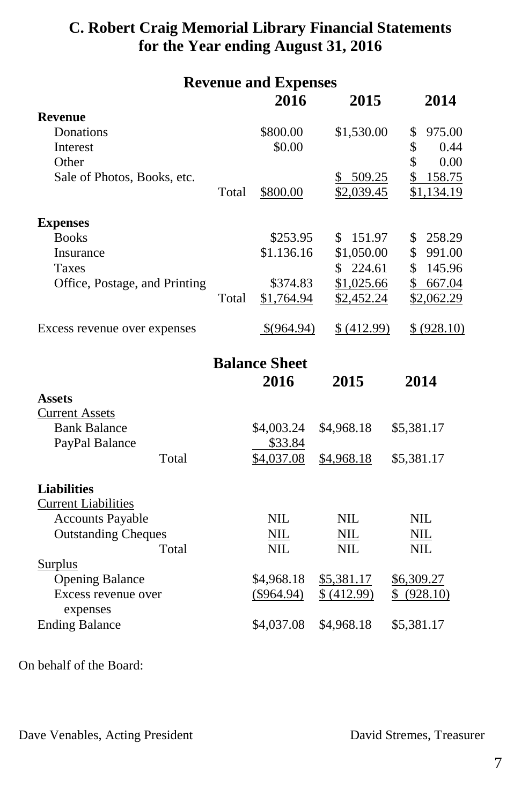# **C. Robert Craig Memorial Library Financial Statements for the Year ending August 31, 2016**

| <b>Revenue and Expenses</b>       |       |                      |             |              |
|-----------------------------------|-------|----------------------|-------------|--------------|
|                                   |       | 2016                 | 2015        | 2014         |
| <b>Revenue</b>                    |       |                      |             |              |
| Donations                         |       | \$800.00             | \$1,530.00  | \$<br>975.00 |
| Interest                          |       | \$0.00               |             | \$<br>0.44   |
| Other                             |       |                      |             | \$<br>0.00   |
| Sale of Photos, Books, etc.       |       |                      | \$509.25    | \$<br>158.75 |
|                                   | Total | \$800.00             | \$2,039.45  | \$1,134.19   |
| <b>Expenses</b>                   |       |                      |             |              |
| <b>Books</b>                      |       | \$253.95             | \$151.97    | 258.29<br>\$ |
| Insurance                         |       | \$1.136.16           | \$1,050.00  | \$<br>991.00 |
| <b>Taxes</b>                      |       |                      | \$224.61    | \$<br>145.96 |
| Office, Postage, and Printing     |       | \$374.83             | \$1,025.66  | \$667.04     |
|                                   | Total | \$1,764.94           | \$2,452.24  | \$2,062.29   |
| Excess revenue over expenses      |       | \$(964.94)           | \$ (412.99) | \$ (928.10)  |
|                                   |       | <b>Balance Sheet</b> |             |              |
|                                   |       | 2016                 | 2015        | 2014         |
| <b>Assets</b>                     |       |                      |             |              |
| <b>Current Assets</b>             |       |                      |             |              |
| <b>Bank Balance</b>               |       | \$4,003.24           | \$4,968.18  | \$5,381.17   |
| PayPal Balance                    |       | \$33.84              |             |              |
| Total                             |       | \$4,037.08           | \$4,968.18  | \$5,381.17   |
| <b>Liabilities</b>                |       |                      |             |              |
| <b>Current Liabilities</b>        |       |                      |             |              |
| <b>Accounts Payable</b>           |       | <b>NIL</b>           | <b>NIL</b>  | <b>NIL</b>   |
| <b>Outstanding Cheques</b>        |       | <b>NIL</b>           | <b>NIL</b>  | <b>NIL</b>   |
| Total                             |       | <b>NIL</b>           | <b>NIL</b>  | <b>NIL</b>   |
| <b>Surplus</b>                    |       |                      |             |              |
| <b>Opening Balance</b>            |       | \$4,968.18           | \$5,381.17  | \$6,309.27   |
| Excess revenue over               |       | (\$964.94)           | \$ (412.99) | \$ (928.10)  |
| expenses<br><b>Ending Balance</b> |       | \$4,037.08           | \$4,968.18  | \$5,381.17   |
|                                   |       |                      |             |              |

On behalf of the Board:

Dave Venables, Acting President David Stremes, Treasurer